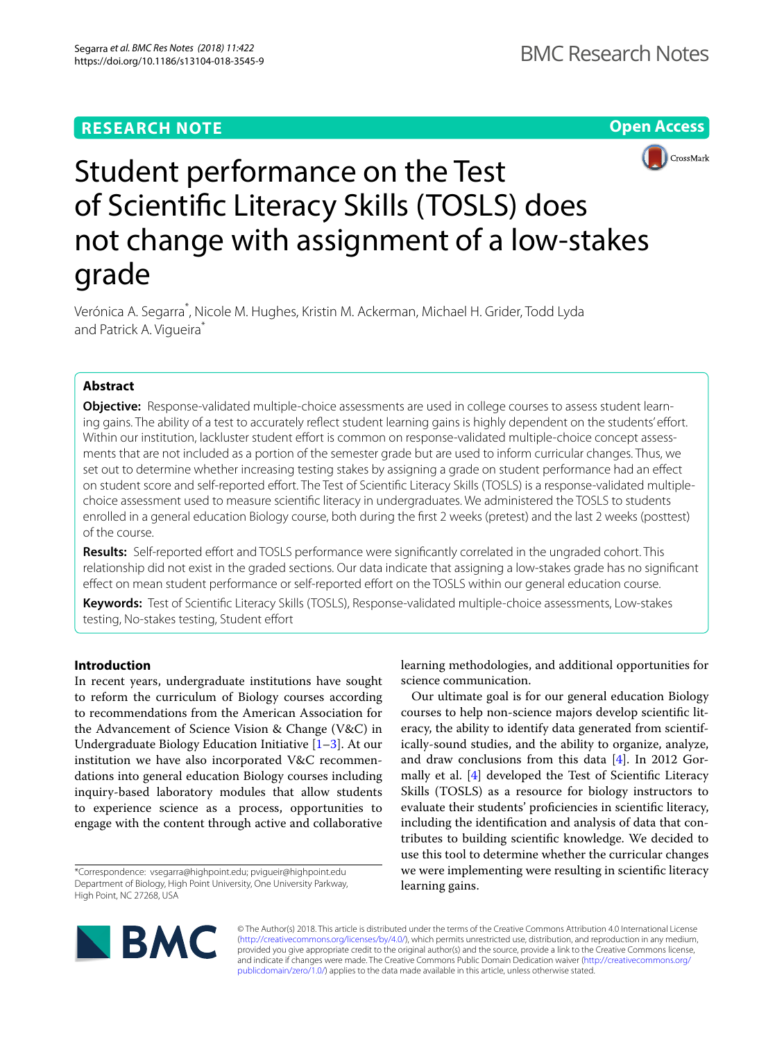# **RESEARCH NOTE**

**Open Access**



# Student performance on the Test of Scientifc Literacy Skills (TOSLS) does not change with assignment of a low-stakes grade

Verónica A. Segarra\* , Nicole M. Hughes, Kristin M. Ackerman, Michael H. Grider, Todd Lyda and Patrick A. Vigueira<sup>\*</sup>

# **Abstract**

**Objective:** Response-validated multiple-choice assessments are used in college courses to assess student learning gains. The ability of a test to accurately reflect student learning gains is highly dependent on the students' effort. Within our institution, lackluster student effort is common on response-validated multiple-choice concept assessments that are not included as a portion of the semester grade but are used to inform curricular changes. Thus, we set out to determine whether increasing testing stakes by assigning a grade on student performance had an efect on student score and self-reported efort. The Test of Scientifc Literacy Skills (TOSLS) is a response-validated multiplechoice assessment used to measure scientifc literacy in undergraduates. We administered the TOSLS to students enrolled in a general education Biology course, both during the frst 2 weeks (pretest) and the last 2 weeks (posttest) of the course.

**Results:** Self-reported efort and TOSLS performance were signifcantly correlated in the ungraded cohort. This relationship did not exist in the graded sections. Our data indicate that assigning a low-stakes grade has no signifcant effect on mean student performance or self-reported effort on the TOSLS within our general education course.

**Keywords:** Test of Scientifc Literacy Skills (TOSLS), Response-validated multiple-choice assessments, Low-stakes testing, No-stakes testing, Student effort

# **Introduction**

In recent years, undergraduate institutions have sought to reform the curriculum of Biology courses according to recommendations from the American Association for the Advancement of Science Vision & Change (V&C) in Undergraduate Biology Education Initiative [\[1](#page-4-0)[–3\]](#page-4-1). At our institution we have also incorporated V&C recommendations into general education Biology courses including inquiry-based laboratory modules that allow students to experience science as a process, opportunities to engage with the content through active and collaborative

\*Correspondence: vsegarra@highpoint.edu; pvigueir@highpoint.edu Department of Biology, High Point University, One University Parkway, High Point, NC 27268, USA

learning methodologies, and additional opportunities for science communication.

Our ultimate goal is for our general education Biology courses to help non-science majors develop scientifc literacy, the ability to identify data generated from scientifically-sound studies, and the ability to organize, analyze, and draw conclusions from this data [\[4](#page-4-2)]. In 2012 Gor-mally et al. [[4\]](#page-4-2) developed the Test of Scientific Literacy Skills (TOSLS) as a resource for biology instructors to evaluate their students' profciencies in scientifc literacy, including the identifcation and analysis of data that contributes to building scientifc knowledge. We decided to use this tool to determine whether the curricular changes we were implementing were resulting in scientifc literacy learning gains.



© The Author(s) 2018. This article is distributed under the terms of the Creative Commons Attribution 4.0 International License [\(http://creativecommons.org/licenses/by/4.0/\)](http://creativecommons.org/licenses/by/4.0/), which permits unrestricted use, distribution, and reproduction in any medium, provided you give appropriate credit to the original author(s) and the source, provide a link to the Creative Commons license, and indicate if changes were made. The Creative Commons Public Domain Dedication waiver ([http://creativecommons.org/](http://creativecommons.org/publicdomain/zero/1.0/) [publicdomain/zero/1.0/](http://creativecommons.org/publicdomain/zero/1.0/)) applies to the data made available in this article, unless otherwise stated.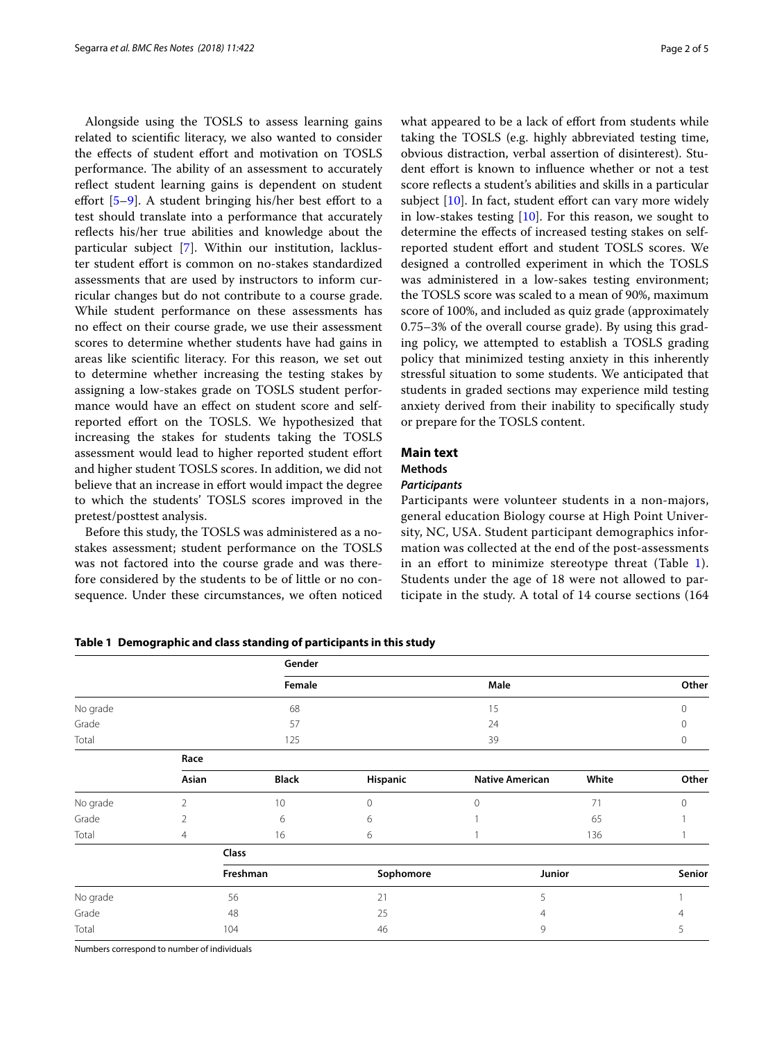Alongside using the TOSLS to assess learning gains related to scientifc literacy, we also wanted to consider the effects of student effort and motivation on TOSLS performance. The ability of an assessment to accurately refect student learning gains is dependent on student effort  $[5-9]$  $[5-9]$ . A student bringing his/her best effort to a test should translate into a performance that accurately refects his/her true abilities and knowledge about the particular subject [[7](#page-4-5)]. Within our institution, lackluster student efort is common on no-stakes standardized assessments that are used by instructors to inform curricular changes but do not contribute to a course grade. While student performance on these assessments has no efect on their course grade, we use their assessment scores to determine whether students have had gains in areas like scientifc literacy. For this reason, we set out to determine whether increasing the testing stakes by assigning a low-stakes grade on TOSLS student performance would have an efect on student score and selfreported efort on the TOSLS. We hypothesized that increasing the stakes for students taking the TOSLS assessment would lead to higher reported student efort and higher student TOSLS scores. In addition, we did not believe that an increase in effort would impact the degree to which the students' TOSLS scores improved in the pretest/posttest analysis.

Before this study, the TOSLS was administered as a nostakes assessment; student performance on the TOSLS was not factored into the course grade and was therefore considered by the students to be of little or no consequence. Under these circumstances, we often noticed what appeared to be a lack of effort from students while taking the TOSLS (e.g. highly abbreviated testing time, obvious distraction, verbal assertion of disinterest). Student efort is known to infuence whether or not a test score reflects a student's abilities and skills in a particular subject  $[10]$ . In fact, student effort can vary more widely in low-stakes testing  $[10]$ . For this reason, we sought to determine the efects of increased testing stakes on selfreported student efort and student TOSLS scores. We designed a controlled experiment in which the TOSLS was administered in a low-sakes testing environment; the TOSLS score was scaled to a mean of 90%, maximum score of 100%, and included as quiz grade (approximately 0.75–3% of the overall course grade). By using this grading policy, we attempted to establish a TOSLS grading policy that minimized testing anxiety in this inherently stressful situation to some students. We anticipated that students in graded sections may experience mild testing anxiety derived from their inability to specifcally study or prepare for the TOSLS content.

# **Main text**

#### **Methods**

#### *Participants*

Participants were volunteer students in a non-majors, general education Biology course at High Point University, NC, USA. Student participant demographics information was collected at the end of the post-assessments in an efort to minimize stereotype threat (Table [1](#page-1-0)). Students under the age of 18 were not allowed to participate in the study. A total of 14 course sections (164

|          |          | Gender       |           |                        |       |        |  |
|----------|----------|--------------|-----------|------------------------|-------|--------|--|
|          |          | Female       |           | Male                   |       | Other  |  |
| No grade |          | 68           |           | 15                     |       | 0      |  |
| Grade    |          | 57           |           | 24                     |       | 0      |  |
| Total    |          | 125          |           | 39                     |       | 0      |  |
|          | Race     |              |           |                        |       |        |  |
|          | Asian    | <b>Black</b> | Hispanic  | <b>Native American</b> | White | Other  |  |
| No grade | 2        | 10           | $\Omega$  | $\Omega$               | 71    | 0      |  |
| Grade    | 2        | 6            | 6         |                        | 65    |        |  |
| Total    | 4        | 16           | 6         |                        | 136   |        |  |
|          | Class    |              |           |                        |       |        |  |
|          | Freshman |              | Sophomore | Junior                 |       | Senior |  |
| No grade | 56       |              | 21        | 5                      |       |        |  |
| Grade    | 48       |              | 25        | 4                      |       |        |  |
| Total    | 104      |              | 46        | 9                      |       | 5      |  |

<span id="page-1-0"></span>**Table 1 Demographic and class standing of participants in this study**

Numbers correspond to number of individuals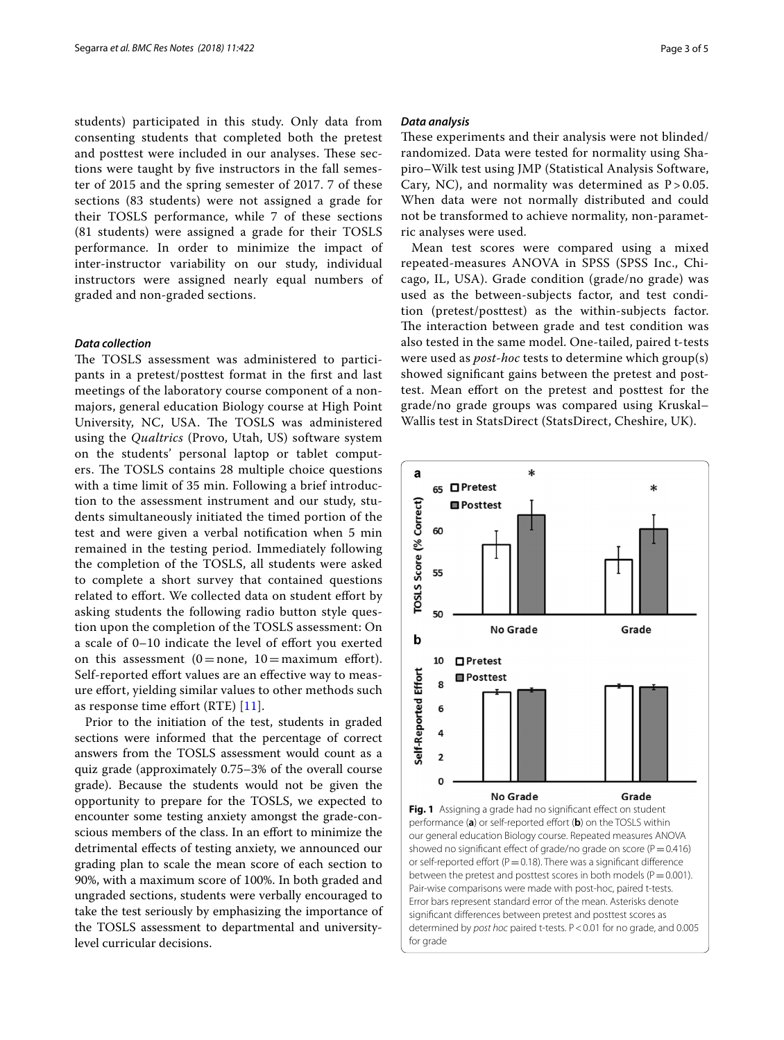students) participated in this study. Only data from consenting students that completed both the pretest and posttest were included in our analyses. These sections were taught by fve instructors in the fall semester of 2015 and the spring semester of 2017. 7 of these sections (83 students) were not assigned a grade for their TOSLS performance, while 7 of these sections (81 students) were assigned a grade for their TOSLS performance. In order to minimize the impact of inter-instructor variability on our study, individual instructors were assigned nearly equal numbers of graded and non-graded sections.

## *Data collection*

The TOSLS assessment was administered to participants in a pretest/posttest format in the frst and last meetings of the laboratory course component of a nonmajors, general education Biology course at High Point University, NC, USA. The TOSLS was administered using the *Qualtrics* (Provo, Utah, US) software system on the students' personal laptop or tablet computers. The TOSLS contains 28 multiple choice questions with a time limit of 35 min. Following a brief introduction to the assessment instrument and our study, students simultaneously initiated the timed portion of the test and were given a verbal notifcation when 5 min remained in the testing period. Immediately following the completion of the TOSLS, all students were asked to complete a short survey that contained questions related to effort. We collected data on student effort by asking students the following radio button style question upon the completion of the TOSLS assessment: On a scale of 0–10 indicate the level of efort you exerted on this assessment  $(0=$  none,  $10=$  maximum effort). Self-reported effort values are an effective way to measure efort, yielding similar values to other methods such as response time efort (RTE) [\[11\]](#page-4-7).

<span id="page-2-0"></span>Prior to the initiation of the test, students in graded sections were informed that the percentage of correct answers from the TOSLS assessment would count as a quiz grade (approximately 0.75–3% of the overall course grade). Because the students would not be given the opportunity to prepare for the TOSLS, we expected to encounter some testing anxiety amongst the grade-conscious members of the class. In an efort to minimize the detrimental efects of testing anxiety, we announced our grading plan to scale the mean score of each section to 90%, with a maximum score of 100%. In both graded and ungraded sections, students were verbally encouraged to take the test seriously by emphasizing the importance of the TOSLS assessment to departmental and universitylevel curricular decisions.

#### *Data analysis*

These experiments and their analysis were not blinded/ randomized. Data were tested for normality using Shapiro–Wilk test using JMP (Statistical Analysis Software, Cary, NC), and normality was determined as  $P > 0.05$ . When data were not normally distributed and could not be transformed to achieve normality, non-parametric analyses were used.

Mean test scores were compared using a mixed repeated-measures ANOVA in SPSS (SPSS Inc., Chicago, IL, USA). Grade condition (grade/no grade) was used as the between-subjects factor, and test condition (pretest/posttest) as the within-subjects factor. The interaction between grade and test condition was also tested in the same model. One-tailed, paired t-tests were used as *post-hoc* tests to determine which group(s) showed signifcant gains between the pretest and posttest. Mean efort on the pretest and posttest for the grade/no grade groups was compared using Kruskal– Wallis test in StatsDirect (StatsDirect, Cheshire, UK).

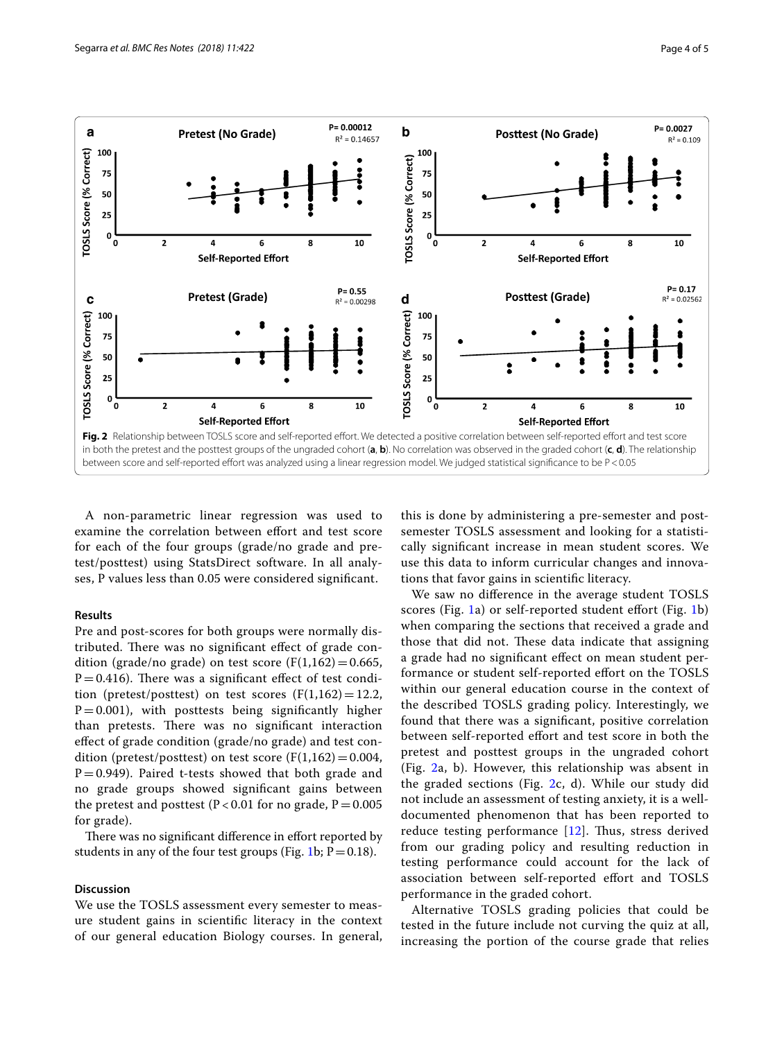

<span id="page-3-0"></span>A non-parametric linear regression was used to examine the correlation between efort and test score for each of the four groups (grade/no grade and pretest/posttest) using StatsDirect software. In all analyses, P values less than 0.05 were considered signifcant.

# **Results**

Pre and post-scores for both groups were normally distributed. There was no significant effect of grade condition (grade/no grade) on test score ( $F(1,162)=0.665$ ,  $P = 0.416$ ). There was a significant effect of test condition (pretest/posttest) on test scores  $(F(1,162)=12.2,$  $P=0.001$ ), with posttests being significantly higher than pretests. There was no significant interaction efect of grade condition (grade/no grade) and test condition (pretest/posttest) on test score  $(F(1,162)=0.004,$  $P=0.949$ ). Paired t-tests showed that both grade and no grade groups showed signifcant gains between the pretest and posttest ( $P < 0.01$  for no grade,  $P = 0.005$ for grade).

There was no significant difference in effort reported by students in any of the four test groups (Fig. [1](#page-2-0)b;  $P = 0.18$ ).

## **Discussion**

We use the TOSLS assessment every semester to measure student gains in scientifc literacy in the context of our general education Biology courses. In general,

this is done by administering a pre-semester and postsemester TOSLS assessment and looking for a statistically signifcant increase in mean student scores. We use this data to inform curricular changes and innovations that favor gains in scientifc literacy.

We saw no diference in the average student TOSLS scores (Fig. [1a](#page-2-0)) or self-reported student effort (Fig. [1](#page-2-0)b) when comparing the sections that received a grade and those that did not. These data indicate that assigning a grade had no signifcant efect on mean student performance or student self-reported efort on the TOSLS within our general education course in the context of the described TOSLS grading policy. Interestingly, we found that there was a signifcant, positive correlation between self-reported efort and test score in both the pretest and posttest groups in the ungraded cohort (Fig. [2a](#page-3-0), b). However, this relationship was absent in the graded sections (Fig.  $2c$  $2c$ , d). While our study did not include an assessment of testing anxiety, it is a welldocumented phenomenon that has been reported to reduce testing performance  $[12]$  $[12]$ . Thus, stress derived from our grading policy and resulting reduction in testing performance could account for the lack of association between self-reported effort and TOSLS performance in the graded cohort.

Alternative TOSLS grading policies that could be tested in the future include not curving the quiz at all, increasing the portion of the course grade that relies